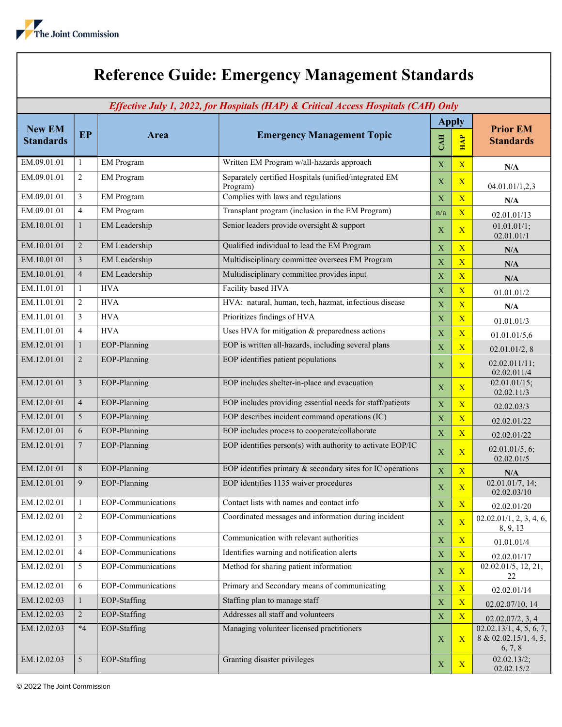## Reference Guide: Emergency Management Standards

| Effective July 1, 2022, for Hospitals (HAP) & Critical Access Hospitals (CAH) Only |                 |                           |                                                                   |              |                         |                                                             |  |  |  |
|------------------------------------------------------------------------------------|-----------------|---------------------------|-------------------------------------------------------------------|--------------|-------------------------|-------------------------------------------------------------|--|--|--|
|                                                                                    |                 |                           |                                                                   | <b>Apply</b> |                         | <b>Prior EM</b>                                             |  |  |  |
| <b>New EM</b><br><b>Standards</b>                                                  | <b>EP</b>       | <b>Area</b>               | <b>Emergency Management Topic</b>                                 | <b>CAH</b>   | <b>HAP</b>              | <b>Standards</b>                                            |  |  |  |
| EM.09.01.01                                                                        | $\mathbf{1}$    | <b>EM</b> Program         | Written EM Program w/all-hazards approach                         | X            | $\overline{\mathbf{X}}$ | N/A                                                         |  |  |  |
| EM.09.01.01                                                                        | $\overline{2}$  | <b>EM</b> Program         | Separately certified Hospitals (unified/integrated EM<br>Program) | $\mathbf X$  | $\mathbf{X}$            | 04.01.01/1,2,3                                              |  |  |  |
| EM.09.01.01                                                                        | 3               | <b>EM Program</b>         | Complies with laws and regulations                                | $\mathbf X$  | $\overline{X}$          | N/A                                                         |  |  |  |
| EM.09.01.01                                                                        | $\overline{4}$  | EM Program                | Transplant program (inclusion in the EM Program)                  | n/a          | $\overline{\mathbf{X}}$ | 02.01.01/13                                                 |  |  |  |
| EM.10.01.01                                                                        | 1               | EM Leadership             | Senior leaders provide oversight & support                        | X            | $\overline{X}$          | 01.01.01/1;<br>02.01.01/1                                   |  |  |  |
| EM.10.01.01                                                                        | $\overline{2}$  | <b>EM</b> Leadership      | Qualified individual to lead the EM Program                       | X            | $\overline{\mathbf{X}}$ | N/A                                                         |  |  |  |
| EM.10.01.01                                                                        | 3               | <b>EM</b> Leadership      | Multidisciplinary committee oversees EM Program                   | $\mathbf X$  | $\overline{\mathbf{X}}$ | N/A                                                         |  |  |  |
| EM.10.01.01                                                                        | $\overline{4}$  | EM Leadership             | Multidisciplinary committee provides input                        | $\mathbf X$  | $\overline{X}$          | N/A                                                         |  |  |  |
| EM.11.01.01                                                                        | $\mathbf{1}$    | <b>HVA</b>                | Facility based HVA                                                | X            | $\overline{X}$          | 01.01.01/2                                                  |  |  |  |
| EM.11.01.01                                                                        | $\overline{2}$  | <b>HVA</b>                | HVA: natural, human, tech, hazmat, infectious disease             | $\mathbf X$  | $\overline{X}$          | N/A                                                         |  |  |  |
| EM.11.01.01                                                                        | 3               | <b>HVA</b>                | Prioritizes findings of HVA                                       | $\mathbf X$  | $\overline{\mathbf{X}}$ | 01.01.01/3                                                  |  |  |  |
| EM.11.01.01                                                                        | 4               | <b>HVA</b>                | Uses HVA for mitigation & preparedness actions                    | $\mathbf X$  | $\overline{\mathbf{X}}$ | 01.01.01/5,6                                                |  |  |  |
| EM.12.01.01                                                                        | $\mathbf{1}$    | EOP-Planning              | EOP is written all-hazards, including several plans               | X            | $\overline{X}$          | 02.01.01/2, 8                                               |  |  |  |
| EM.12.01.01                                                                        | $\overline{2}$  | EOP-Planning              | EOP identifies patient populations                                | X            | $\overline{\mathbf{X}}$ | 02.02.011/11;<br>02.02.011/4                                |  |  |  |
| EM.12.01.01                                                                        | $\overline{3}$  | EOP-Planning              | EOP includes shelter-in-place and evacuation                      | X            | $\mathbf{X}$            | 02.01.01/15;<br>02.02.11/3                                  |  |  |  |
| EM.12.01.01                                                                        | $\overline{4}$  | EOP-Planning              | EOP includes providing essential needs for staff/patients         | $\mathbf X$  | $\overline{X}$          | 02.02.03/3                                                  |  |  |  |
| EM.12.01.01                                                                        | 5               | EOP-Planning              | EOP describes incident command operations (IC)                    | $\mathbf X$  | $\overline{X}$          | 02.02.01/22                                                 |  |  |  |
| EM.12.01.01                                                                        | 6               | EOP-Planning              | EOP includes process to cooperate/collaborate                     | $\mathbf X$  | $\overline{\mathbf{X}}$ | 02.02.01/22                                                 |  |  |  |
| EM.12.01.01                                                                        | 7               | EOP-Planning              | EOP identifies person(s) with authority to activate EOP/IC        | $\mathbf X$  | $\mathbf{X}$            | 02.01.01/5, 6;<br>02.02.01/5                                |  |  |  |
| EM.12.01.01                                                                        | $8\,$           | EOP-Planning              | EOP identifies primary $\&$ secondary sites for IC operations     | $\mathbf X$  | $\overline{\mathbf{X}}$ | N/A                                                         |  |  |  |
| EM.12.01.01                                                                        | 9               | EOP-Planning              | EOP identifies 1135 waiver procedures                             | X            | $\overline{X}$          | 02.01.01/7, 14;<br>02.02.03/10                              |  |  |  |
| EM.12.02.01                                                                        | $\mathbf{1}$    | <b>EOP-Communications</b> | Contact lists with names and contact info                         | X            | $\overline{\mathbf{X}}$ | 02.02.01/20                                                 |  |  |  |
| EM.12.02.01                                                                        | $\overline{c}$  | EOP-Communications        | Coordinated messages and information during incident              | $\mathbf X$  | $\overline{X}$          | 02.02.01/1, 2, 3, 4, 6,<br>8, 9, 13                         |  |  |  |
| EM.12.02.01                                                                        | 3               | EOP-Communications        | Communication with relevant authorities                           | X            | $\mathbf{X}$            | 01.01.01/4                                                  |  |  |  |
| EM.12.02.01                                                                        | $\overline{4}$  | EOP-Communications        | Identifies warning and notification alerts                        | $\mathbf X$  | $\overline{X}$          | 02.02.01/17                                                 |  |  |  |
| EM.12.02.01                                                                        | 5               | EOP-Communications        | Method for sharing patient information                            | X            | $\overline{X}$          | 02.02.01/5, 12, 21,<br>22                                   |  |  |  |
| EM.12.02.01                                                                        | 6               | EOP-Communications        | Primary and Secondary means of communicating                      | $\mathbf X$  | $\mathbf{X}$            | 02.02.01/14                                                 |  |  |  |
| EM.12.02.03                                                                        | $\mathbf{1}$    | EOP-Staffing              | Staffing plan to manage staff                                     | $\mathbf X$  | $\mathbf{X}$            | 02.02.07/10, 14                                             |  |  |  |
| EM.12.02.03                                                                        | $\overline{2}$  | EOP-Staffing              | Addresses all staff and volunteers                                | X            | X                       | 02.02.07/2, 3, 4                                            |  |  |  |
| EM.12.02.03                                                                        | $*4$            | EOP-Staffing              | Managing volunteer licensed practitioners                         | X            | $\overline{\mathbf{X}}$ | 02.02.13/1, 4, 5, 6, 7,<br>8 & 02.02.15/1, 4, 5,<br>6, 7, 8 |  |  |  |
| EM.12.02.03                                                                        | $5\overline{)}$ | EOP-Staffing              | Granting disaster privileges                                      | X            | $\mathbf{X}$            | 02.02.13/2;<br>02.02.15/2                                   |  |  |  |